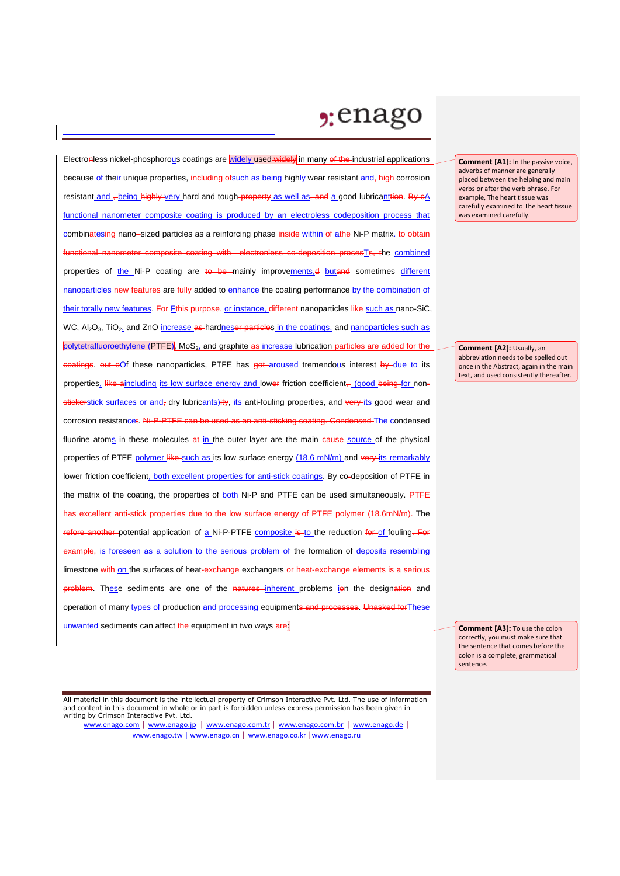## $2:$ enago

Electronless nickel-phosphorous coatings are widely used widely in many of the industrial applications because of their unique properties, including of such as being highly wear resistant and, high corrosion resistant and -being highly very hard and tough property as well as, and a good lubricanttion. By eA functional nanometer composite coating is produced by an electroless codeposition process that combinatesing nano–sized particles as a reinforcing phase inside-within of athe Ni-P matrix, to obtain mposite coating with electronless co-deposition procesTs, the combined properties of the Ni-P coating are to be mainly improvements,d butand sometimes different nanoparticles new features are fully added to enhance the coating performance by the combination of their totally new features. For Fthis purpose, or instance, different nanoparticles like such as nano-SiC, WC, Al<sub>2</sub>O<sub>3</sub>, TiO<sub>2</sub>, and ZnO increase as hardneser particles in the coatings, and nanoparticles such as polytetrafluoroethylene (PTFE), MoS<sub>2</sub> and graphite as increase lubrication particles are added for the oatings. out oOf these nanoparticles, PTFE has got aroused tremendous interest by due to its properties, like aincluding its low surface energy and lower friction coefficient, (good being for nonstickerstick surfaces or and, dry lubricants)ity, its anti-fouling properties, and very its good wear and corrosion resistancet. Ni-P-PTFE can be used as an anti-sticking coating. Condensed The condensed fluorine atoms in these molecules at in the outer layer are the main eause source of the physical properties of PTFE polymer like such as its low surface energy (18.6 mN/m) and very its remarkably lower friction coefficient, both excellent properties for anti-stick coatings. By co-deposition of PTFE in the matrix of the coating, the properties of both Ni-P and PTFE can be used simultaneously. PTFE excellent anti-stick properties due to the low surface energy of PTFE polymer (18.6mN/m). The refore another-potential application of a Ni-P-PTFE composite is to the reduction for of fouling. For example, is foreseen as a solution to the serious problem of the formation of deposits resembling limestone with on the surfaces of heat-exchange exchangers or heat-exchange elements is a serious in problem. These sediments are one of the natures inherent problems ion the designation and operation of many types of production and processing equipments and processes. Unasked for These unwanted sediments can affect-the equipment in two ways-are:

All material in this document is the intellectual property of Crimson Interactive Pvt. Ltd. The use of information and content in this document in whole or in part is forbidden unless express permission has been given in writing by Crimson Interactive Pvt. Ltd.

www.enago.com | www.enago.jp | www.enago.com.tr | www.enago.com.br | www.enago.de | www.enago.tw | www.enago.cn | www.enago.co.kr |www.enago.ru

**Comment [A1]:** In the passive voice, adverbs of manner are generally placed between the helping and main verbs or after the verb phrase. For example, The heart tissue was carefully examined to The heart tissue was examined carefully.

**Comment [A2]:** Usually, an abbreviation needs to be spelled out once in the Abstract, again in the main text, and used consistently thereafter.

**Comment [A3]:** To use the colon correctly, you must make sure that the sentence that comes before the colon is a complete, grammatical sentence.